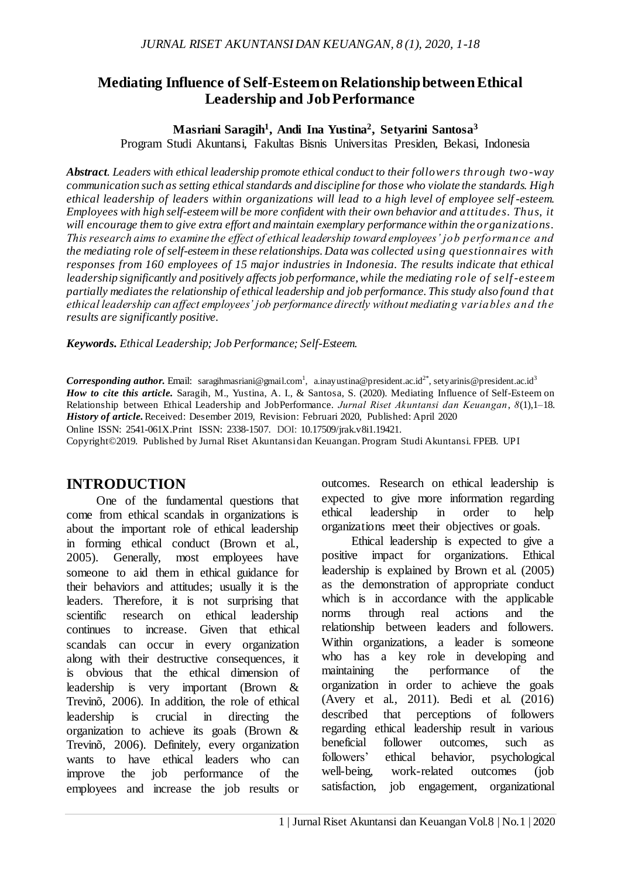# **Mediating Influence of Self-Esteem on Relationship between Ethical Leadership and Job Performance**

### **Masriani Saragih<sup>1</sup> , Andi Ina Yustina<sup>2</sup> , Setyarini Santosa<sup>3</sup>**

Program Studi Akuntansi, Fakultas Bisnis Universitas Presiden, Bekasi, Indonesia

*Abstract. Leaders with ethical leadership promote ethical conduct to their followers through two-way communication such as setting ethical standards and discipline for those who violate the standards. High ethical leadership of leaders within organizations will lead to a high level of employee self -esteem. Employees with high self-esteem will be more confident with their own behavior and attitudes. Thus, it will encourage them to give extra effort and maintain exemplary performance within the organizations. This research aims to examine the effect of ethical leadership toward employees' job performance and the mediating role of self-esteem in these relationships. Data was collected using questionnaires with responses from 160 employees of 15 major industries in Indonesia. The results indicate that ethical leadership significantly and positively affects job performance, while the mediating role of self-esteem partially mediatesthe relationship of ethical leadership and job performance. This study also found that ethical leadership can affect employees' job performance directly without mediating variables and the results are significantly positive.*

*Keywords. Ethical Leadership; Job Performance; Self-Esteem.*

 $\emph{Corresponding author. Email:}$  saragihmasriani@gmail.com<sup>1</sup>, a.inayustina@president.ac.id<sup>2\*</sup>, setyarinis@president.ac.id<sup>3</sup> *How to cite this article.* Saragih, M., Yustina, A. I., & Santosa, S. (2020). Mediating Influence of Self-Esteem on Relationship between Ethical Leadership and JobPerformance. *Jurnal Riset Akuntansi dan Keuangan*, *8*(1),1–18. *History of article.*Received: Desember 2019, Revision: Februari 2020, Published: April 2020

Online ISSN: 2541-061X.Print ISSN: 2338-1507. DOI: [10.17509/jrak.v8i1.1](https://doi.org/10.17509/jrak.v8i1)9421.

Copyright©2019. Published by Jurnal Riset Akuntansi dan Keuangan. Program Studi Akuntansi. FPEB. UPI

## **INTRODUCTION**

One of the fundamental questions that come from ethical scandals in organizations is about the important role of ethical leadership in forming ethical conduct (Brown et al., 2005). Generally, most employees have someone to aid them in ethical guidance for their behaviors and attitudes; usually it is the leaders. Therefore, it is not surprising that scientific research on ethical leadership continues to increase. Given that ethical scandals can occur in every organization along with their destructive consequences, it is obvious that the ethical dimension of leadership is very important (Brown & Trevinõ, 2006). In addition, the role of ethical leadership is crucial in directing the organization to achieve its goals (Brown & Trevinõ, 2006). Definitely, every organization wants to have ethical leaders who can improve the job performance of the employees and increase the job results or

outcomes. Research on ethical leadership is expected to give more information regarding ethical leadership in order to help organizations meet their objectives or goals.

Ethical leadership is expected to give a positive impact for organizations. Ethical leadership is explained by Brown et al. (2005) as the demonstration of appropriate conduct which is in accordance with the applicable norms through real actions and the relationship between leaders and followers. Within organizations, a leader is someone who has a key role in developing and maintaining the performance of the organization in order to achieve the goals (Avery et al., 2011). Bedi et al. (2016) described that perceptions of followers regarding ethical leadership result in various beneficial follower outcomes, such as followers' ethical behavior, psychological well-being, work-related outcomes (job satisfaction, job engagement, organizational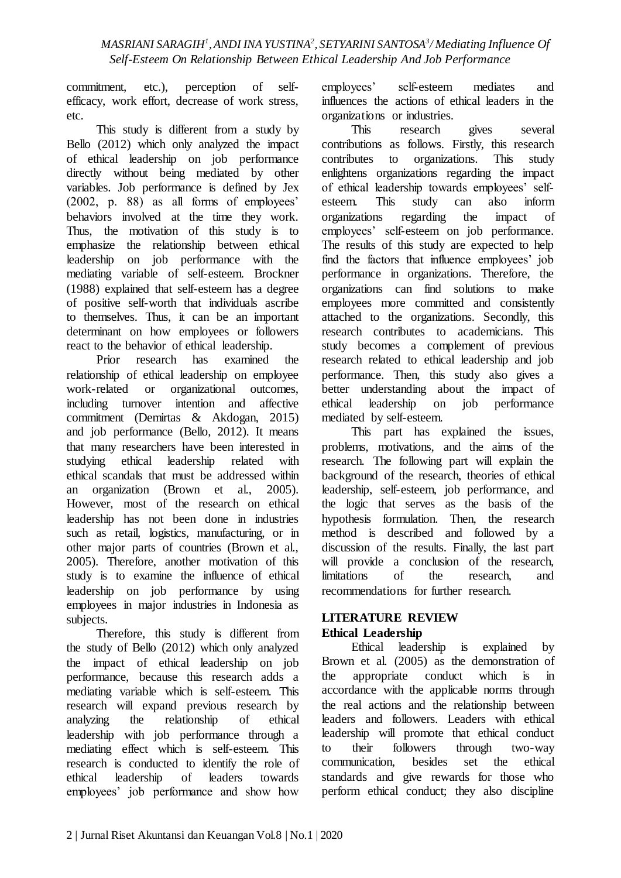commitment, etc.), perception of selfefficacy, work effort, decrease of work stress, etc.

This study is different from a study by Bello (2012) which only analyzed the impact of ethical leadership on job performance directly without being mediated by other variables. Job performance is defined by Jex (2002, p. 88) as all forms of employees' behaviors involved at the time they work. Thus, the motivation of this study is to emphasize the relationship between ethical leadership on job performance with the mediating variable of self-esteem. Brockner (1988) explained that self-esteem has a degree of positive self-worth that individuals ascribe to themselves. Thus, it can be an important determinant on how employees or followers react to the behavior of ethical leadership.

Prior research has examined the relationship of ethical leadership on employee work-related or organizational outcomes, including turnover intention and affective commitment (Demirtas & Akdogan, 2015) and job performance (Bello, 2012). It means that many researchers have been interested in studying ethical leadership related with ethical scandals that must be addressed within an organization (Brown et al., 2005). However, most of the research on ethical leadership has not been done in industries such as retail, logistics, manufacturing, or in other major parts of countries (Brown et al., 2005). Therefore, another motivation of this study is to examine the influence of ethical leadership on job performance by using employees in major industries in Indonesia as subjects.

Therefore, this study is different from the study of Bello (2012) which only analyzed the impact of ethical leadership on job performance, because this research adds a mediating variable which is self-esteem. This research will expand previous research by analyzing the relationship of ethical leadership with job performance through a mediating effect which is self-esteem. This research is conducted to identify the role of ethical leadership of leaders towards employees' job performance and show how

employees' self-esteem mediates and influences the actions of ethical leaders in the organizations or industries.

This research gives several contributions as follows. Firstly, this research contributes to organizations. This study enlightens organizations regarding the impact of ethical leadership towards employees' self-<br>esteem. This study can also inform esteem. This study can organizations regarding the impact of employees' self-esteem on job performance. The results of this study are expected to help find the factors that influence employees' job performance in organizations. Therefore, the organizations can find solutions to make employees more committed and consistently attached to the organizations. Secondly, this research contributes to academicians. This study becomes a complement of previous research related to ethical leadership and job performance. Then, this study also gives a better understanding about the impact of ethical leadership on job performance mediated by self-esteem.

This part has explained the issues, problems, motivations, and the aims of the research. The following part will explain the background of the research, theories of ethical leadership, self-esteem, job performance, and the logic that serves as the basis of the hypothesis formulation. Then, the research method is described and followed by a discussion of the results. Finally, the last part will provide a conclusion of the research, limitations of the research, and recommendations for further research.

### **LITERATURE REVIEW Ethical Leadership**

Ethical leadership is explained by Brown et al. (2005) as the demonstration of the appropriate conduct which is in accordance with the applicable norms through the real actions and the relationship between leaders and followers. Leaders with ethical leadership will promote that ethical conduct to their followers through two-way communication, besides set the ethical standards and give rewards for those who perform ethical conduct; they also discipline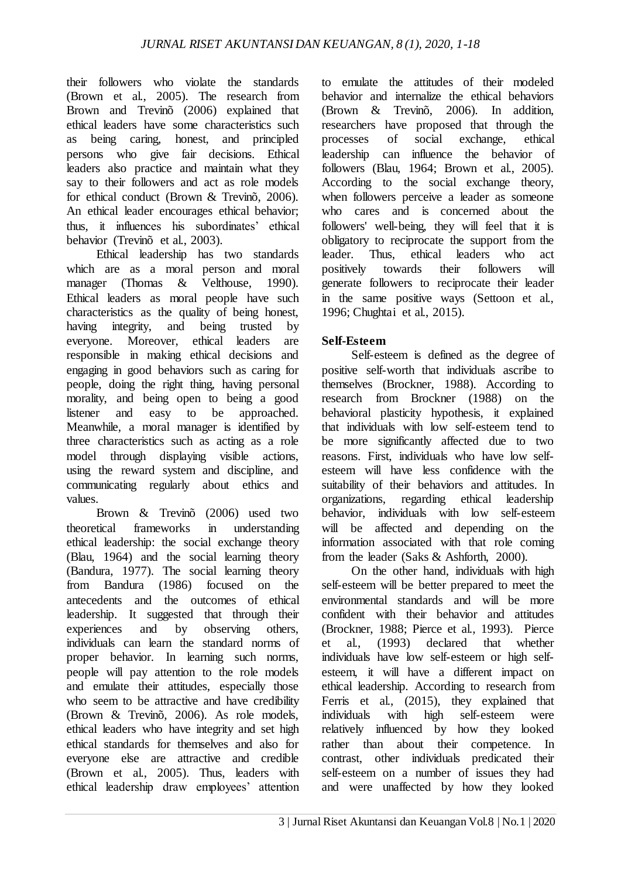their followers who violate the standards (Brown et al., 2005). The research from Brown and Trevinõ (2006) explained that ethical leaders have some characteristics such as being caring, honest, and principled persons who give fair decisions. Ethical leaders also practice and maintain what they say to their followers and act as role models for ethical conduct (Brown & Trevinõ, 2006). An ethical leader encourages ethical behavior; thus, it influences his subordinates' ethical behavior (Trevinõ et al., 2003).

Ethical leadership has two standards which are as a moral person and moral manager (Thomas  $\&$  Velthouse, 1990). manager (Thomas & Velthouse, 1990). Ethical leaders as moral people have such characteristics as the quality of being honest, having integrity, and being trusted by everyone. Moreover, ethical leaders are responsible in making ethical decisions and engaging in good behaviors such as caring for people, doing the right thing, having personal morality, and being open to being a good listener and easy to be approached. Meanwhile, a moral manager is identified by three characteristics such as acting as a role model through displaying visible actions, using the reward system and discipline, and communicating regularly about ethics and values.

Brown & Trevinõ (2006) used two theoretical frameworks in understanding ethical leadership: the social exchange theory (Blau, 1964) and the social learning theory (Bandura, 1977). The social learning theory from Bandura (1986) focused on the antecedents and the outcomes of ethical leadership. It suggested that through their experiences and by observing others, individuals can learn the standard norms of proper behavior. In learning such norms, people will pay attention to the role models and emulate their attitudes, especially those who seem to be attractive and have credibility (Brown & Trevinõ, 2006). As role models, ethical leaders who have integrity and set high ethical standards for themselves and also for everyone else are attractive and credible (Brown et al., 2005). Thus, leaders with ethical leadership draw employees' attention

to emulate the attitudes of their modeled behavior and internalize the ethical behaviors (Brown & Trevinõ, 2006). In addition, researchers have proposed that through the processes of social exchange, ethical leadership can influence the behavior of followers (Blau, 1964; Brown et al., 2005). According to the social exchange theory, when followers perceive a leader as someone who cares and is concerned about the followers' well-being, they will feel that it is obligatory to reciprocate the support from the leader. Thus, ethical leaders who act positively towards their followers will generate followers to reciprocate their leader in the same positive ways (Settoon et al., 1996; Chughtai et al., 2015).

# **Self-Esteem**

Self-esteem is defined as the degree of positive self-worth that individuals ascribe to themselves (Brockner, 1988). According to research from Brockner (1988) on the behavioral plasticity hypothesis, it explained that individuals with low self-esteem tend to be more significantly affected due to two reasons. First, individuals who have low selfesteem will have less confidence with the suitability of their behaviors and attitudes. In organizations, regarding ethical leadership behavior, individuals with low self-esteem will be affected and depending on the information associated with that role coming from the leader (Saks & Ashforth, 2000).

On the other hand, individuals with high self-esteem will be better prepared to meet the environmental standards and will be more confident with their behavior and attitudes (Brockner, 1988; Pierce et al., 1993). Pierce et al., (1993) declared that whether individuals have low self-esteem or high selfesteem, it will have a different impact on ethical leadership. According to research from Ferris et al., (2015), they explained that individuals with high self-esteem were relatively influenced by how they looked rather than about their competence. In contrast, other individuals predicated their self-esteem on a number of issues they had and were unaffected by how they looked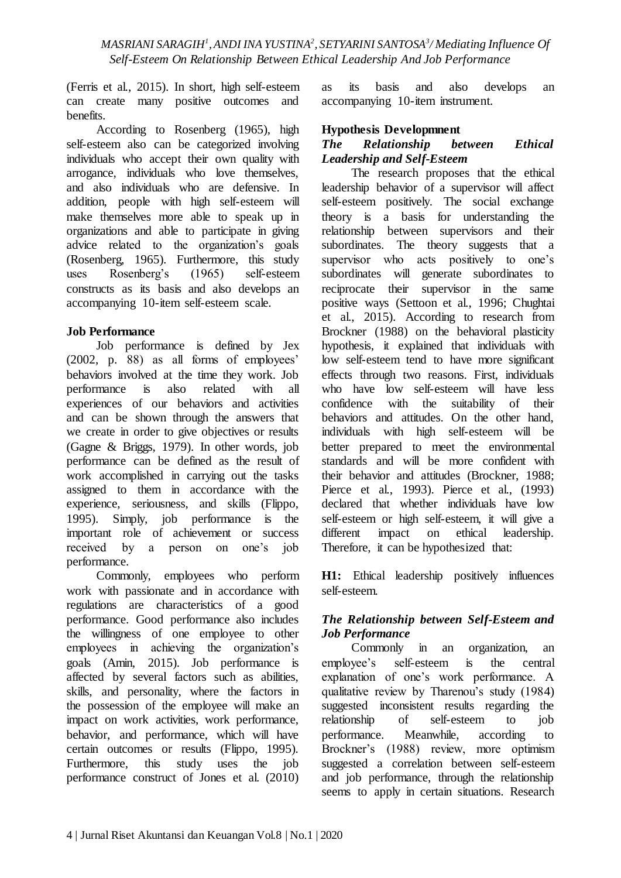(Ferris et al., 2015). In short, high self-esteem can create many positive outcomes and benefits.

According to Rosenberg (1965), high self-esteem also can be categorized involving individuals who accept their own quality with arrogance, individuals who love themselves, and also individuals who are defensive. In addition, people with high self-esteem will make themselves more able to speak up in organizations and able to participate in giving advice related to the organization's goals (Rosenberg, 1965). Furthermore, this study uses Rosenberg's (1965) self-esteem constructs as its basis and also develops an accompanying 10-item self-esteem scale.

### **Job Performance**

Job performance is defined by Jex (2002, p. 88) as all forms of employees' behaviors involved at the time they work. Job performance is also related with all experiences of our behaviors and activities and can be shown through the answers that we create in order to give objectives or results (Gagne & Briggs, 1979). In other words, job performance can be defined as the result of work accomplished in carrying out the tasks assigned to them in accordance with the experience, seriousness, and skills (Flippo, 1995). Simply, job performance is the important role of achievement or success received by a person on one's job performance.

Commonly, employees who perform work with passionate and in accordance with regulations are characteristics of a good performance. Good performance also includes the willingness of one employee to other employees in achieving the organization's goals (Amin, 2015). Job performance is affected by several factors such as abilities, skills, and personality, where the factors in the possession of the employee will make an impact on work activities, work performance, behavior, and performance, which will have certain outcomes or results (Flippo, 1995). Furthermore, this study uses the job performance construct of Jones et al. (2010)

as its basis and also develops an accompanying 10-item instrument.

#### **Hypothesis Developmnent**

#### *The Relationship between Ethical Leadership and Self-Esteem*

The research proposes that the ethical leadership behavior of a supervisor will affect self-esteem positively. The social exchange theory is a basis for understanding the relationship between supervisors and their subordinates. The theory suggests that a supervisor who acts positively to one's subordinates will generate subordinates to reciprocate their supervisor in the same positive ways (Settoon et al., 1996; Chughtai et al., 2015). According to research from Brockner (1988) on the behavioral plasticity hypothesis, it explained that individuals with low self-esteem tend to have more significant effects through two reasons. First, individuals who have low self-esteem will have less confidence with the suitability of their behaviors and attitudes. On the other hand, individuals with high self-esteem will be better prepared to meet the environmental standards and will be more confident with their behavior and attitudes (Brockner, 1988; Pierce et al., 1993). Pierce et al., (1993) declared that whether individuals have low self-esteem or high self-esteem, it will give a different impact on ethical leadership. Therefore, it can be hypothesized that:

**H1:** Ethical leadership positively influences self-esteem.

### *The Relationship between Self-Esteem and Job Performance*

Commonly in an organization, an employee's self-esteem is the central explanation of one's work performance. A qualitative review by Tharenou's study (1984) suggested inconsistent results regarding the relationship of self-esteem to job performance. Meanwhile, according to Brockner's (1988) review, more optimism suggested a correlation between self-esteem and job performance, through the relationship seems to apply in certain situations. Research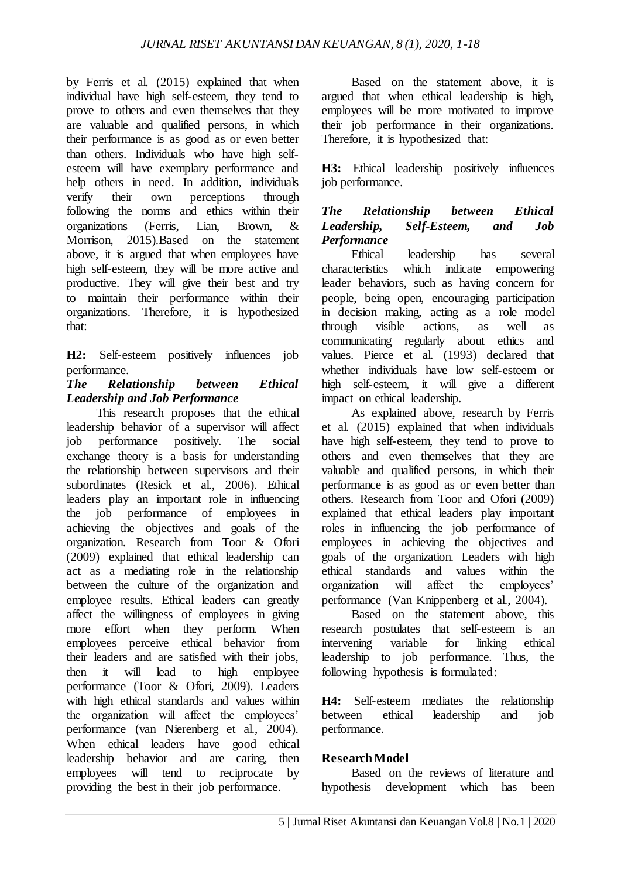by Ferris et al. (2015) explained that when individual have high self-esteem, they tend to prove to others and even themselves that they are valuable and qualified persons, in which their performance is as good as or even better than others. Individuals who have high selfesteem will have exemplary performance and help others in need. In addition, individuals verify their own perceptions through following the norms and ethics within their organizations (Ferris, Lian, Brown, & Morrison, 2015).Based on the statement above, it is argued that when employees have high self-esteem, they will be more active and productive. They will give their best and try to maintain their performance within their organizations. Therefore, it is hypothesized that:

**H2:** Self-esteem positively influences job performance.

### *The Relationship between Ethical Leadership and Job Performance*

This research proposes that the ethical leadership behavior of a supervisor will affect job performance positively. The social exchange theory is a basis for understanding the relationship between supervisors and their subordinates (Resick et al., 2006). Ethical leaders play an important role in influencing the job performance of employees in achieving the objectives and goals of the organization. Research from Toor & Ofori (2009) explained that ethical leadership can act as a mediating role in the relationship between the culture of the organization and employee results. Ethical leaders can greatly affect the willingness of employees in giving more effort when they perform. When employees perceive ethical behavior from their leaders and are satisfied with their jobs, then it will lead to high employee performance (Toor & Ofori, 2009). Leaders with high ethical standards and values within the organization will affect the employees' performance (van Nierenberg et al., 2004). When ethical leaders have good ethical leadership behavior and are caring, then employees will tend to reciprocate by providing the best in their job performance.

Based on the statement above, it is argued that when ethical leadership is high, employees will be more motivated to improve their job performance in their organizations. Therefore, it is hypothesized that:

**H3:** Ethical leadership positively influences job performance.

### *The Relationship between Ethical Leadership, Self-Esteem, and Job Performance*

Ethical leadership has several characteristics which indicate empowering leader behaviors, such as having concern for people, being open, encouraging participation in decision making, acting as a role model through visible actions, as well as communicating regularly about ethics and values. Pierce et al. (1993) declared that whether individuals have low self-esteem or high self-esteem, it will give a different impact on ethical leadership.

As explained above, research by Ferris et al. (2015) explained that when individuals have high self-esteem, they tend to prove to others and even themselves that they are valuable and qualified persons, in which their performance is as good as or even better than others. Research from Toor and Ofori (2009) explained that ethical leaders play important roles in influencing the job performance of employees in achieving the objectives and goals of the organization. Leaders with high ethical standards and values within the organization will affect the employees' performance (Van Knippenberg et al., 2004).

Based on the statement above, this research postulates that self-esteem is an intervening variable for linking ethical leadership to job performance. Thus, the following hypothesis is formulated:

**H4:** Self-esteem mediates the relationship between ethical leadership and job performance.

### **Research Model**

Based on the reviews of literature and hypothesis development which has been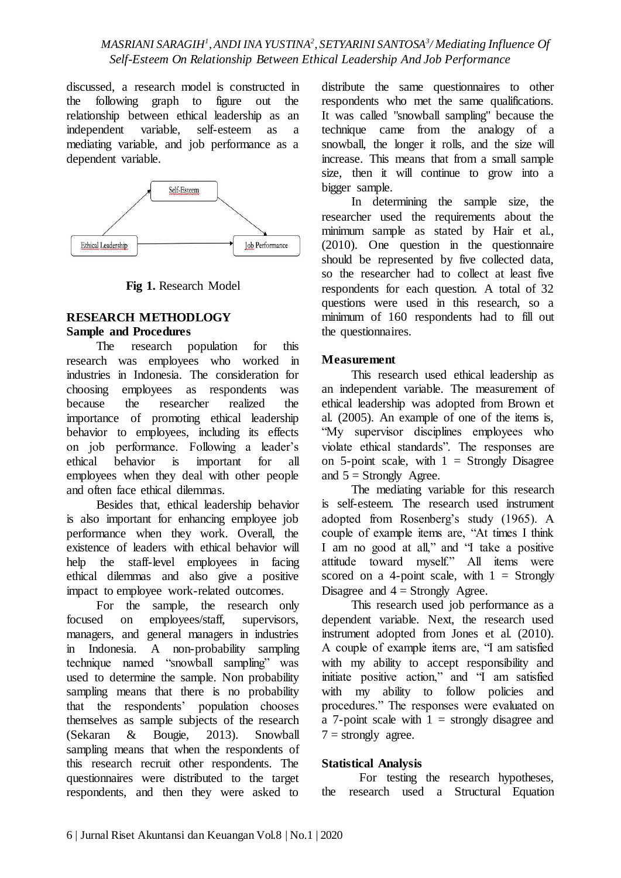discussed, a research model is constructed in the following graph to figure out the relationship between ethical leadership as an independent variable, self-esteem as a mediating variable, and job performance as a dependent variable.



**Fig 1.** Research Model

## **RESEARCH METHODLOGY Sample and Procedures**

The research population for this research was employees who worked in industries in Indonesia. The consideration for choosing employees as respondents was because the researcher realized the importance of promoting ethical leadership behavior to employees, including its effects on job performance. Following a leader's ethical behavior is important for all employees when they deal with other people and often face ethical dilemmas.

Besides that, ethical leadership behavior is also important for enhancing employee job performance when they work. Overall, the existence of leaders with ethical behavior will help the staff-level employees in facing ethical dilemmas and also give a positive impact to employee work-related outcomes.

For the sample, the research only focused on employees/staff, supervisors, managers, and general managers in industries in Indonesia. A non-probability sampling technique named "snowball sampling" was used to determine the sample. Non probability sampling means that there is no probability that the respondents' population chooses themselves as sample subjects of the research (Sekaran & Bougie, 2013). Snowball sampling means that when the respondents of this research recruit other respondents. The questionnaires were distributed to the target respondents, and then they were asked to

distribute the same questionnaires to other respondents who met the same qualifications. It was called "snowball sampling" because the technique came from the analogy of a snowball, the longer it rolls, and the size will increase. This means that from a small sample size, then it will continue to grow into a bigger sample.

In determining the sample size, the researcher used the requirements about the minimum sample as stated by Hair et al., (2010). One question in the questionnaire should be represented by five collected data, so the researcher had to collect at least five respondents for each question. A total of 32 questions were used in this research, so a minimum of 160 respondents had to fill out the questionnaires.

## **Measurement**

This research used ethical leadership as an independent variable. The measurement of ethical leadership was adopted from Brown et al. (2005). An example of one of the items is, "My supervisor disciplines employees who violate ethical standards". The responses are on 5-point scale, with  $1 =$  Strongly Disagree and  $5 =$  Strongly Agree.

The mediating variable for this research is self-esteem. The research used instrument adopted from Rosenberg's study (1965). A couple of example items are, "At times I think I am no good at all," and "I take a positive attitude toward myself." All items were scored on a 4-point scale, with  $1 =$  Strongly Disagree and  $4 =$  Strongly Agree.

This research used job performance as a dependent variable. Next, the research used instrument adopted from Jones et al. (2010). A couple of example items are, "I am satisfied with my ability to accept responsibility and initiate positive action," and "I am satisfied with my ability to follow policies and procedures." The responses were evaluated on a 7-point scale with  $1 =$  strongly disagree and  $7 =$  strongly agree.

## **Statistical Analysis**

For testing the research hypotheses, the research used a Structural Equation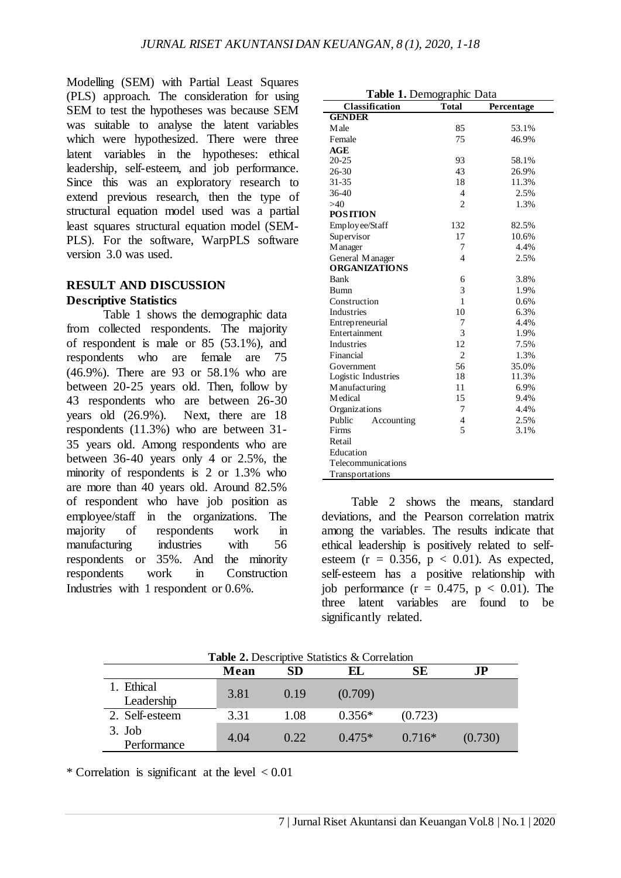Modelling (SEM) with Partial Least Squares (PLS) approach. The consideration for using SEM to test the hypotheses was because SEM was suitable to analyse the latent variables which were hypothesized. There were three latent variables in the hypotheses: ethical leadership, self-esteem, and job performance. Since this was an exploratory research to extend previous research, then the type of structural equation model used was a partial least squares structural equation model (SEM-PLS). For the software, WarpPLS software version 3.0 was used.

## **RESULT AND DISCUSSION Descriptive Statistics**

Table 1 shows the demographic data from collected respondents. The majority of respondent is male or 85 (53.1%), and respondents who are female are 75 (46.9%). There are 93 or 58.1% who are between 20-25 years old. Then, follow by 43 respondents who are between 26-30 years old (26.9%). Next, there are 18 respondents (11.3%) who are between 31- 35 years old. Among respondents who are between 36-40 years only 4 or 2.5%, the minority of respondents is 2 or 1.3% who are more than 40 years old. Around 82.5% of respondent who have job position as employee/staff in the organizations. The majority of respondents work in manufacturing industries with 56 respondents or 35%. And the minority respondents work in Construction Industries with 1 respondent or 0.6%.

| Table 1. Demographic Data                           |                |       |  |
|-----------------------------------------------------|----------------|-------|--|
| <b>Classification</b><br><b>Total</b><br>Percentage |                |       |  |
| <b>GENDER</b>                                       |                |       |  |
| M ale                                               | 85             | 53.1% |  |
| Female                                              | 75             | 46.9% |  |
| AGE                                                 |                |       |  |
| $20 - 25$                                           | 93             | 58.1% |  |
| 26-30                                               | 43             | 26.9% |  |
| 31-35                                               | 18             | 11.3% |  |
| $36-40$                                             | 4              | 2.5%  |  |
| >40                                                 | $\overline{c}$ | 1.3%  |  |
| <b>POSITION</b>                                     |                |       |  |
| Employee/Staff                                      | 132            | 82.5% |  |
| Supervisor                                          | 17             | 10.6% |  |
| M anager                                            | 7              | 4.4%  |  |
| General Manager                                     | 4              | 2.5%  |  |
| <b>ORGANIZATIONS</b>                                |                |       |  |
| Bank                                                | 6              | 3.8%  |  |
| Bumn                                                | 3              | 1.9%  |  |
| Construction                                        | 1              | 0.6%  |  |
| <b>Industries</b>                                   | 10             | 6.3%  |  |
| Entrepreneurial                                     | 7              | 4.4%  |  |
| Entertainment                                       | 3              | 1.9%  |  |
| <b>Industries</b>                                   | 12             | 7.5%  |  |
| Financial                                           | $\overline{2}$ | 1.3%  |  |
| Government                                          | 56             | 35.0% |  |
| Logistic Industries                                 | 18             | 11.3% |  |
| M anufacturing                                      | 11             | 6.9%  |  |
| <b>M</b> edical                                     | 15             | 9.4%  |  |
| Organizations                                       | 7              | 4.4%  |  |
| Public<br>Accounting                                | 4              | 2.5%  |  |
| Firms                                               | 5              | 3.1%  |  |
| Retail                                              |                |       |  |
| Education                                           |                |       |  |
| Telecommunications                                  |                |       |  |
| Transportations                                     |                |       |  |

Table 2 shows the means, standard deviations, and the Pearson correlation matrix among the variables. The results indicate that ethical leadership is positively related to selfesteem ( $r = 0.356$ ,  $p < 0.01$ ). As expected, self-esteem has a positive relationship with job performance ( $r = 0.475$ ,  $p < 0.01$ ). The three latent variables are found to be significantly related.

| <b>Table 2.</b> Descriptive Statistics & Correlation |      |      |          |          |           |
|------------------------------------------------------|------|------|----------|----------|-----------|
|                                                      | Mean | SD   | EL       | SЕ       | $\bf{JP}$ |
| 1. Ethical<br>Leadership                             | 3.81 | 0.19 | (0.709)  |          |           |
| 2. Self-esteem                                       | 3.31 | 1.08 | $0.356*$ | (0.723)  |           |
| $3.$ Job<br>Performance                              | 4.04 | 0.22 | $0.475*$ | $0.716*$ | (0.730)   |

**Table 2.** Descriptive Statistics & Correlation

\* Correlation is significant at the level  $< 0.01$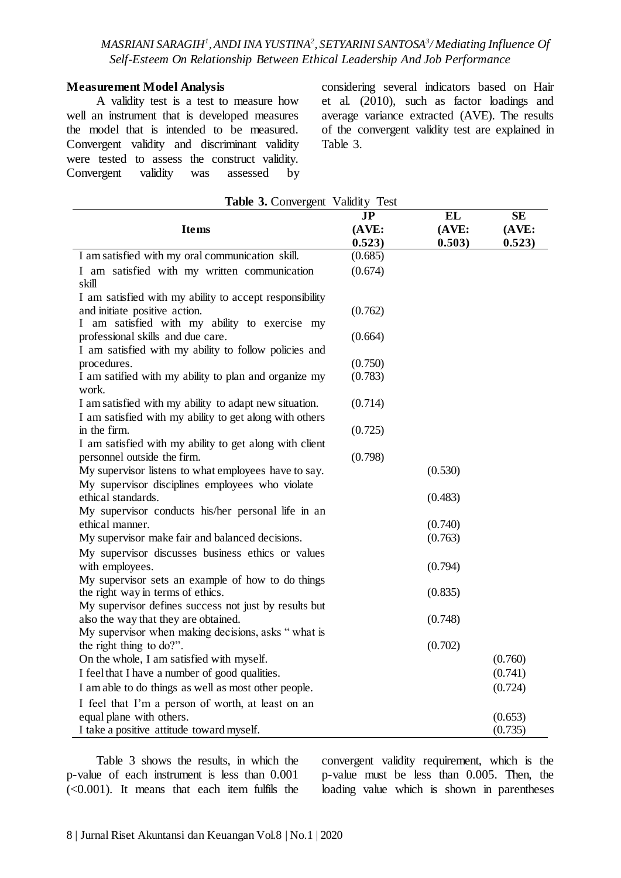#### **Measurement Model Analysis**

A validity test is a test to measure how well an instrument that is developed measures the model that is intended to be measured. Convergent validity and discriminant validity were tested to assess the construct validity. Convergent validity was assessed by considering several indicators based on Hair et al. (2010), such as factor loadings and average variance extracted (AVE). The results of the convergent validity test are explained in Table 3.

| Table 3. Convergent Validity Test                                                             |         |           |           |  |
|-----------------------------------------------------------------------------------------------|---------|-----------|-----------|--|
|                                                                                               | JP      | <b>EL</b> | <b>SE</b> |  |
| <b>Items</b>                                                                                  | (AVE:   | (AVE:     | (AVE:     |  |
|                                                                                               | 0.523)  | 0.503)    | 0.523)    |  |
| I am satisfied with my oral communication skill.                                              | (0.685) |           |           |  |
| I am satisfied with my written communication                                                  | (0.674) |           |           |  |
| skill                                                                                         |         |           |           |  |
| I am satisfied with my ability to accept responsibility                                       |         |           |           |  |
| and initiate positive action.                                                                 | (0.762) |           |           |  |
| I am satisfied with my ability to exercise my                                                 |         |           |           |  |
| professional skills and due care.                                                             | (0.664) |           |           |  |
| I am satisfied with my ability to follow policies and                                         |         |           |           |  |
| procedures.                                                                                   | (0.750) |           |           |  |
| I am satified with my ability to plan and organize my                                         | (0.783) |           |           |  |
| work.                                                                                         |         |           |           |  |
| I am satisfied with my ability to adapt new situation.                                        | (0.714) |           |           |  |
| I am satisfied with my ability to get along with others                                       |         |           |           |  |
| in the firm.                                                                                  | (0.725) |           |           |  |
| I am satisfied with my ability to get along with client                                       |         |           |           |  |
| personnel outside the firm.                                                                   | (0.798) |           |           |  |
| My supervisor listens to what employees have to say.                                          |         | (0.530)   |           |  |
| My supervisor disciplines employees who violate                                               |         |           |           |  |
| ethical standards.                                                                            |         | (0.483)   |           |  |
| My supervisor conducts his/her personal life in an                                            |         |           |           |  |
| ethical manner.                                                                               |         | (0.740)   |           |  |
| My supervisor make fair and balanced decisions.                                               |         | (0.763)   |           |  |
| My supervisor discusses business ethics or values                                             |         |           |           |  |
| with employees.                                                                               |         | (0.794)   |           |  |
| My supervisor sets an example of how to do things                                             |         |           |           |  |
| the right way in terms of ethics.                                                             |         | (0.835)   |           |  |
| My supervisor defines success not just by results but<br>also the way that they are obtained. |         | (0.748)   |           |  |
| My supervisor when making decisions, asks "what is                                            |         |           |           |  |
| the right thing to do?".                                                                      |         | (0.702)   |           |  |
| On the whole, I am satisfied with myself.                                                     |         |           | (0.760)   |  |
| I feel that I have a number of good qualities.                                                |         |           | (0.741)   |  |
|                                                                                               |         |           |           |  |
| I am able to do things as well as most other people.                                          |         |           | (0.724)   |  |
| I feel that I'm a person of worth, at least on an                                             |         |           |           |  |
| equal plane with others.                                                                      |         |           | (0.653)   |  |
| I take a positive attitude toward myself.                                                     |         |           | (0.735)   |  |

Table 3 shows the results, in which the p-value of each instrument is less than 0.001 (<0.001). It means that each item fulfils the convergent validity requirement, which is the p-value must be less than 0.005. Then, the loading value which is shown in parentheses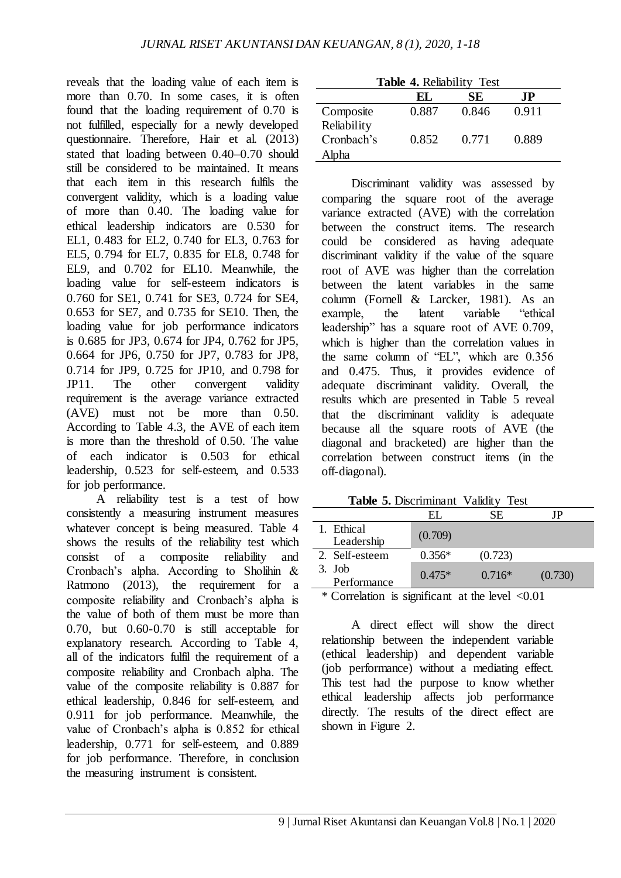reveals that the loading value of each item is more than 0.70. In some cases, it is often found that the loading requirement of 0.70 is not fulfilled, especially for a newly developed questionnaire. Therefore, Hair et al. (2013) stated that loading between 0.40–0.70 should still be considered to be maintained. It means that each item in this research fulfils the convergent validity, which is a loading value of more than 0.40. The loading value for ethical leadership indicators are 0.530 for EL1, 0.483 for EL2, 0.740 for EL3, 0.763 for EL5, 0.794 for EL7, 0.835 for EL8, 0.748 for EL9, and 0.702 for EL10. Meanwhile, the loading value for self-esteem indicators is 0.760 for SE1, 0.741 for SE3, 0.724 for SE4, 0.653 for SE7, and 0.735 for SE10. Then, the loading value for job performance indicators is 0.685 for JP3, 0.674 for JP4, 0.762 for JP5, 0.664 for JP6, 0.750 for JP7, 0.783 for JP8, 0.714 for JP9, 0.725 for JP10, and 0.798 for JP11. The other convergent validity requirement is the average variance extracted (AVE) must not be more than 0.50. According to Table 4.3, the AVE of each item is more than the threshold of 0.50. The value of each indicator is 0.503 for ethical leadership, 0.523 for self-esteem, and 0.533 for job performance.

A reliability test is a test of how consistently a measuring instrument measures whatever concept is being measured. Table 4 shows the results of the reliability test which consist of a composite reliability and Cronbach's alpha. According to Sholihin & Ratmono (2013), the requirement for a composite reliability and Cronbach's alpha is the value of both of them must be more than 0.70, but 0.60-0.70 is still acceptable for explanatory research. According to Table 4, all of the indicators fulfil the requirement of a composite reliability and Cronbach alpha. The value of the composite reliability is 0.887 for ethical leadership, 0.846 for self-esteem, and 0.911 for job performance. Meanwhile, the value of Cronbach's alpha is 0.852 for ethical leadership, 0.771 for self-esteem, and 0.889 for job performance. Therefore, in conclusion the measuring instrument is consistent.

| <b>Table 4. Reliability Test</b> |       |       |       |  |
|----------------------------------|-------|-------|-------|--|
|                                  | EL.   | SЕ    | .IP   |  |
| Composite                        | 0.887 | 0.846 | 0.911 |  |
| Reliability                      |       |       |       |  |
| Cronbach's                       | 0.852 | 0.771 | 0.889 |  |
| Alpha                            |       |       |       |  |

Discriminant validity was assessed by comparing the square root of the average variance extracted (AVE) with the correlation between the construct items. The research could be considered as having adequate discriminant validity if the value of the square root of AVE was higher than the correlation between the latent variables in the same column (Fornell & Larcker, 1981). As an example, the latent variable "ethical leadership" has a square root of AVE 0.709, which is higher than the correlation values in the same column of "EL", which are 0.356 and 0.475. Thus, it provides evidence of adequate discriminant validity. Overall, the results which are presented in Table 5 reveal that the discriminant validity is adequate because all the square roots of AVE (the diagonal and bracketed) are higher than the correlation between construct items (in the off-diagonal).

**Table 5.** Discriminant Validity Test

|                                                     | HL.                                                                                                                                                                                                                            | SE.      | JΡ              |
|-----------------------------------------------------|--------------------------------------------------------------------------------------------------------------------------------------------------------------------------------------------------------------------------------|----------|-----------------|
| 1. Ethical<br>Leadership                            | (0.709)                                                                                                                                                                                                                        |          |                 |
| 2. Self-esteem                                      | $0.356*$                                                                                                                                                                                                                       | (0.723)  |                 |
| 3.~Job<br>Performance                               | $0.475*$                                                                                                                                                                                                                       | $0.716*$ | (0.730)         |
| $\mathbf{a}$ $\mathbf{a}$ $\mathbf{b}$ $\mathbf{c}$ | and the contract of the contract of the contract of the contract of the contract of the contract of the contract of the contract of the contract of the contract of the contract of the contract of the contract of the contra | - 1      | $\sim$ $\sim$ 1 |

\* Correlation is significant at the level <0.01

A direct effect will show the direct relationship between the independent variable (ethical leadership) and dependent variable (job performance) without a mediating effect. This test had the purpose to know whether ethical leadership affects job performance directly. The results of the direct effect are shown in Figure 2.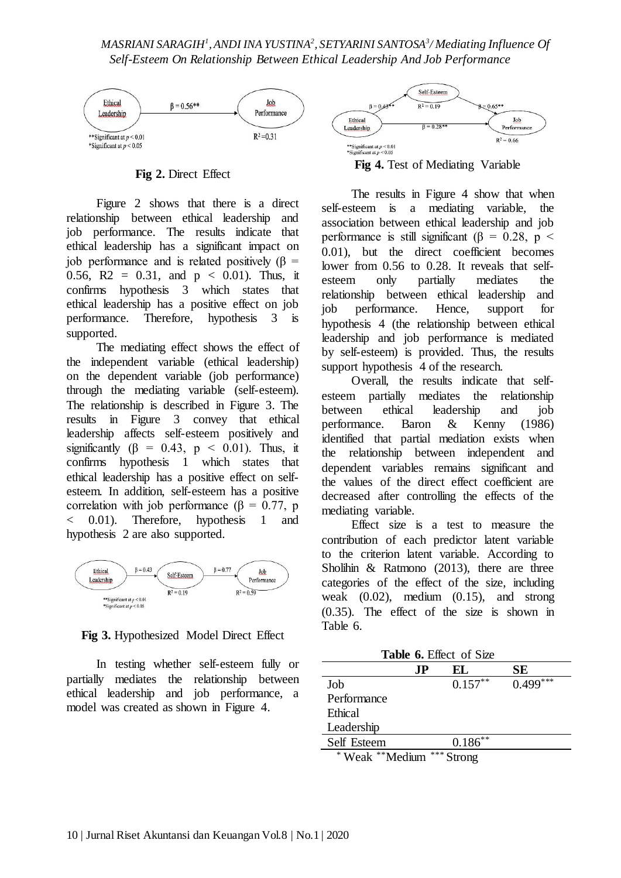

**Fig 2.** Direct Effect

Figure 2 shows that there is a direct relationship between ethical leadership and job performance. The results indicate that ethical leadership has a significant impact on job performance and is related positively  $(β =$ 0.56, R2 = 0.31, and  $p < 0.01$ ). Thus, it confirms hypothesis 3 which states that ethical leadership has a positive effect on job performance. Therefore, hypothesis 3 is supported.

The mediating effect shows the effect of the independent variable (ethical leadership) on the dependent variable (job performance) through the mediating variable (self-esteem). The relationship is described in Figure 3. The results in Figure 3 convey that ethical leadership affects self-esteem positively and significantly ( $\beta = 0.43$ ,  $p < 0.01$ ). Thus, it confirms hypothesis 1 which states that ethical leadership has a positive effect on selfesteem. In addition, self-esteem has a positive correlation with job performance (β = 0.77, p < 0.01). Therefore, hypothesis 1 and hypothesis 2 are also supported.



**Fig 3.** Hypothesized Model Direct Effect

In testing whether self-esteem fully or partially mediates the relationship between ethical leadership and job performance, a model was created as shown in Figure 4.



**Fig 4.** Test of Mediating Variable

The results in Figure 4 show that when self-esteem is a mediating variable, the association between ethical leadership and job performance is still significant ( $\beta$  = 0.28, p < 0.01), but the direct coefficient becomes lower from 0.56 to 0.28. It reveals that selfesteem only partially mediates the relationship between ethical leadership and job performance. Hence, support for hypothesis 4 (the relationship between ethical leadership and job performance is mediated by self-esteem) is provided. Thus, the results support hypothesis 4 of the research.

Overall, the results indicate that selfesteem partially mediates the relationship between ethical leadership and job performance. Baron & Kenny (1986) identified that partial mediation exists when the relationship between independent and dependent variables remains significant and the values of the direct effect coefficient are decreased after controlling the effects of the mediating variable.

Effect size is a test to measure the contribution of each predictor latent variable to the criterion latent variable. According to Sholihin & Ratmono (2013), there are three categories of the effect of the size, including weak (0.02), medium (0.15), and strong (0.35). The effect of the size is shown in Table 6.

| Table 6. Effect of Size |     |            |            |  |
|-------------------------|-----|------------|------------|--|
|                         | .IP | EL.        | SЕ         |  |
| Job                     |     | $0.157***$ | $0.499***$ |  |
| Performance             |     |            |            |  |
| Ethical                 |     |            |            |  |
| Leadership              |     |            |            |  |
| Self Esteem             |     | $0.186**$  |            |  |
| Weak **Medium           |     | $***C$     |            |  |

trong)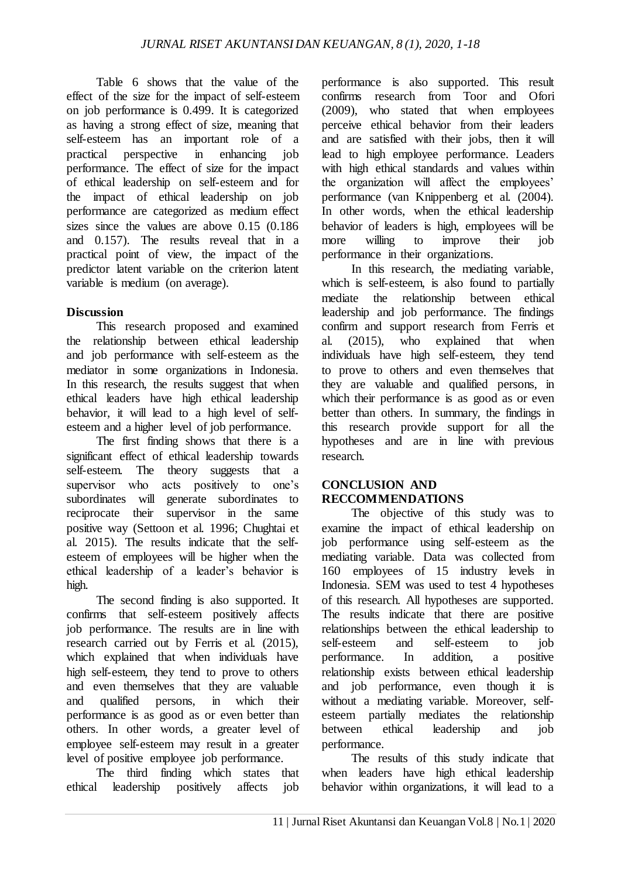Table 6 shows that the value of the effect of the size for the impact of self-esteem on job performance is 0.499. It is categorized as having a strong effect of size, meaning that self-esteem has an important role of a practical perspective in enhancing job performance. The effect of size for the impact of ethical leadership on self-esteem and for the impact of ethical leadership on job performance are categorized as medium effect sizes since the values are above 0.15 (0.186) and 0.157). The results reveal that in a practical point of view, the impact of the predictor latent variable on the criterion latent variable is medium (on average).

## **Discussion**

This research proposed and examined the relationship between ethical leadership and job performance with self-esteem as the mediator in some organizations in Indonesia. In this research, the results suggest that when ethical leaders have high ethical leadership behavior, it will lead to a high level of selfesteem and a higher level of job performance.

The first finding shows that there is a significant effect of ethical leadership towards self-esteem. The theory suggests that a supervisor who acts positively to one's subordinates will generate subordinates to reciprocate their supervisor in the same positive way (Settoon et al. 1996; Chughtai et al. 2015). The results indicate that the selfesteem of employees will be higher when the ethical leadership of a leader's behavior is high.

The second finding is also supported. It confirms that self-esteem positively affects job performance. The results are in line with research carried out by Ferris et al. (2015), which explained that when individuals have high self-esteem, they tend to prove to others and even themselves that they are valuable and qualified persons, in which their performance is as good as or even better than others. In other words, a greater level of employee self-esteem may result in a greater level of positive employee job performance.

The third finding which states that ethical leadership positively affects job

performance is also supported. This result confirms research from Toor and Ofori (2009), who stated that when employees perceive ethical behavior from their leaders and are satisfied with their jobs, then it will lead to high employee performance. Leaders with high ethical standards and values within the organization will affect the employees' performance (van Knippenberg et al. (2004). In other words, when the ethical leadership behavior of leaders is high, employees will be more willing to improve their job performance in their organizations.

In this research, the mediating variable, which is self-esteem, is also found to partially mediate the relationship between ethical leadership and job performance. The findings confirm and support research from Ferris et al. (2015), who explained that when individuals have high self-esteem, they tend to prove to others and even themselves that they are valuable and qualified persons, in which their performance is as good as or even better than others. In summary, the findings in this research provide support for all the hypotheses and are in line with previous research.

### **CONCLUSION AND RECCOMMENDATIONS**

The objective of this study was to examine the impact of ethical leadership on job performance using self-esteem as the mediating variable. Data was collected from 160 employees of 15 industry levels in Indonesia. SEM was used to test 4 hypotheses of this research. All hypotheses are supported. The results indicate that there are positive relationships between the ethical leadership to self-esteem and self-esteem to job performance. In addition, a positive relationship exists between ethical leadership and job performance, even though it is without a mediating variable. Moreover, selfesteem partially mediates the relationship between ethical leadership and job performance.

The results of this study indicate that when leaders have high ethical leadership behavior within organizations, it will lead to a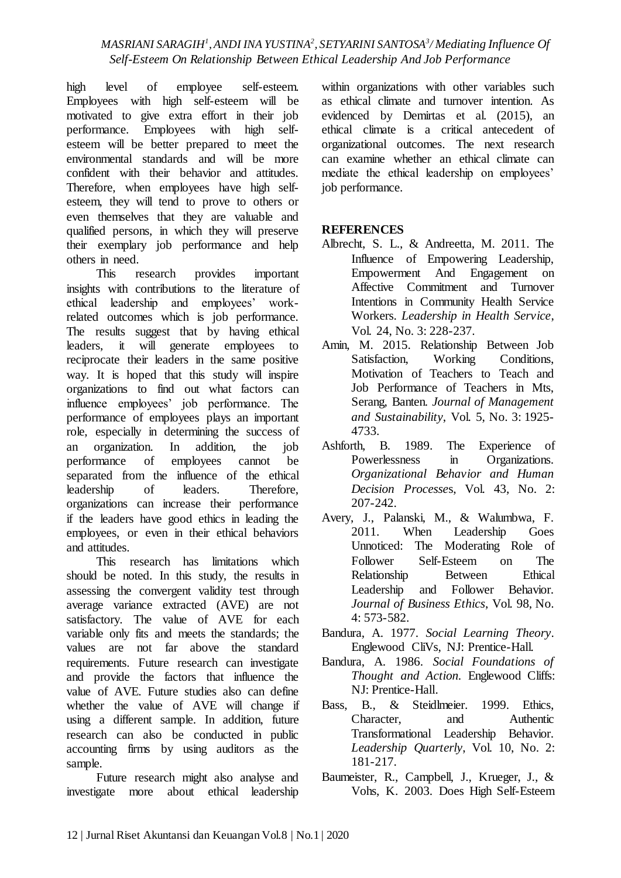high level of employee self-esteem. Employees with high self-esteem will be motivated to give extra effort in their job performance. Employees with high selfesteem will be better prepared to meet the environmental standards and will be more confident with their behavior and attitudes. Therefore, when employees have high selfesteem, they will tend to prove to others or even themselves that they are valuable and qualified persons, in which they will preserve their exemplary job performance and help others in need.

This research provides important insights with contributions to the literature of ethical leadership and employees' workrelated outcomes which is job performance. The results suggest that by having ethical leaders, it will generate employees to reciprocate their leaders in the same positive way. It is hoped that this study will inspire organizations to find out what factors can influence employees' job performance. The performance of employees plays an important role, especially in determining the success of an organization. In addition, the job performance of employees cannot be separated from the influence of the ethical leadership of leaders. Therefore, organizations can increase their performance if the leaders have good ethics in leading the employees, or even in their ethical behaviors and attitudes.

This research has limitations which should be noted. In this study, the results in assessing the convergent validity test through average variance extracted (AVE) are not satisfactory. The value of AVE for each variable only fits and meets the standards; the values are not far above the standard requirements. Future research can investigate and provide the factors that influence the value of AVE. Future studies also can define whether the value of AVE will change if using a different sample. In addition, future research can also be conducted in public accounting firms by using auditors as the sample.

Future research might also analyse and investigate more about ethical leadership within organizations with other variables such as ethical climate and turnover intention. As evidenced by Demirtas et al. (2015), an ethical climate is a critical antecedent of organizational outcomes. The next research can examine whether an ethical climate can mediate the ethical leadership on employees' job performance.

## **REFERENCES**

- Albrecht, S. L., & Andreetta, M. 2011. The Influence of Empowering Leadership, Empowerment And Engagement on Affective Commitment and Turnover Intentions in Community Health Service Workers. *Leadership in Health Service*, Vol. 24, No. 3: 228-237.
- Amin, M. 2015. Relationship Between Job Satisfaction, Working Conditions, Motivation of Teachers to Teach and Job Performance of Teachers in Mts, Serang, Banten. *Journal of Management and Sustainability*, Vol. 5, No. 3: 1925- 4733.
- Ashforth, B. 1989. The Experience of Powerlessness in Organizations. *Organizational Behavior and Human Decision Processe*s, Vol. 43, No. 2: 207-242.
- Avery, J., Palanski, M., & Walumbwa, F. 2011. When Leadership Goes Unnoticed: The Moderating Role of Follower Self-Esteem on The Relationship Between Ethical Leadership and Follower Behavior. *Journal of Business Ethics*, Vol. 98, No. 4: 573-582.
- Bandura, A. 1977. *Social Learning Theory*. Englewood CliVs, NJ: Prentice-Hall.
- Bandura, A. 1986. *Social Foundations of Thought and Action.* Englewood Cliffs: NJ: Prentice-Hall.
- Bass, B., & Steidlmeier. 1999. Ethics, Character, and Authentic Transformational Leadership Behavior. *Leadership Quarterly*, Vol. 10, No. 2: 181-217.
- Baumeister, R., Campbell, J., Krueger, J., & Vohs, K. 2003. Does High Self-Esteem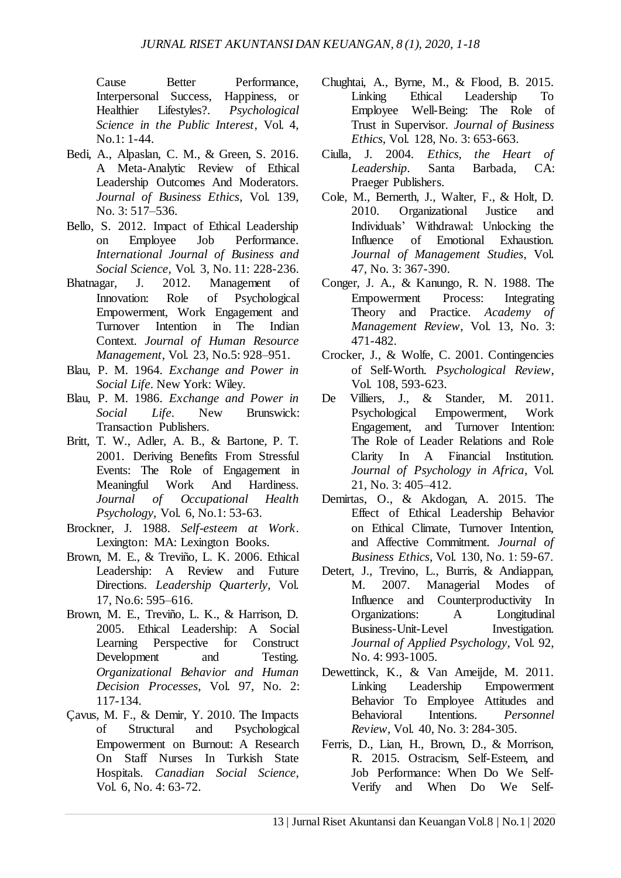Cause Better Performance, Interpersonal Success, Happiness, or Healthier Lifestyles?. *Psychological Science in the Public Interest*, Vol. 4, No.1: 1-44.

- Bedi, A., Alpaslan, C. M., & Green, S. 2016. A Meta-Analytic Review of Ethical Leadership Outcomes And Moderators. *Journal of Business Ethics*, Vol. 139, No. 3: 517–536.
- Bello, S. 2012. Impact of Ethical Leadership on Employee Job Performance. *International Journal of Business and Social Science*, Vol. 3, No. 11: 228-236.
- Bhatnagar, J. 2012. Management of Innovation: Role of Psychological Empowerment, Work Engagement and Turnover Intention in The Indian Context. *Journal of Human Resource Management*, Vol. 23, No.5: 928–951.
- Blau, P. M. 1964. *Exchange and Power in Social Life*. New York: Wiley.
- Blau, P. M. 1986. *Exchange and Power in Social Life*. New Brunswick: Transaction Publishers.
- Britt, T. W., Adler, A. B., & Bartone, P. T. 2001. Deriving Benefits From Stressful Events: The Role of Engagement in Meaningful Work And Hardiness. *Journal of Occupational Health Psychology*, Vol. 6, No.1: 53-63.
- Brockner, J. 1988. *Self-esteem at Work*. Lexington: MA: Lexington Books.
- Brown, M. E., & Treviño, L. K. 2006. Ethical Leadership: A Review and Future Directions. *Leadership Quarterly*, Vol. 17, No.6: 595–616.
- Brown, M. E., Treviño, L. K., & Harrison, D. 2005. Ethical Leadership: A Social Learning Perspective for Construct Development and Testing. *Organizational Behavior and Human Decision Processes*, Vol. 97, No. 2: 117-134.
- Çavus, M. F., & Demir, Y. 2010. The Impacts of Structural and Psychological Empowerment on Burnout: A Research On Staff Nurses In Turkish State Hospitals. *Canadian Social Science*, Vol. 6, No. 4: 63-72.
- Chughtai, A., Byrne, M., & Flood, B. 2015. Linking Ethical Leadership To Employee Well-Being: The Role of Trust in Supervisor. *Journal of Business Ethics*, Vol. 128, No. 3: 653-663.
- Ciulla, J. 2004. *Ethics, the Heart of Leadership*. Santa Barbada, CA: Praeger Publishers.
- Cole, M., Bernerth, J., Walter, F., & Holt, D. 2010. Organizational Justice and Individuals' Withdrawal: Unlocking the Influence of Emotional Exhaustion. *Journal of Management Studies*, Vol. 47, No. 3: 367-390.
- Conger, J. A., & Kanungo, R. N. 1988. The Empowerment Process: Integrating Theory and Practice. *Academy of Management Review*, Vol. 13, No. 3: 471-482.
- Crocker, J., & Wolfe, C. 2001. Contingencies of Self-Worth. *Psychological Review*, Vol. 108, 593-623.
- De Villiers, J., & Stander, M. 2011. Psychological Empowerment, Work Engagement, and Turnover Intention: The Role of Leader Relations and Role Clarity In A Financial Institution. *Journal of Psychology in Africa*, Vol. 21, No. 3: 405–412.
- Demirtas, O., & Akdogan, A. 2015. The Effect of Ethical Leadership Behavior on Ethical Climate, Turnover Intention, and Affective Commitment. *Journal of Business Ethics*, Vol. 130, No. 1: 59-67.
- Detert, J., Trevino, L., Burris, & Andiappan, M. 2007. Managerial Modes of Influence and Counterproductivity In Organizations: A Longitudinal Business-Unit-Level Investigation. *Journal of Applied Psychology*, Vol. 92, No. 4: 993-1005.
- Dewettinck, K., & Van Ameijde, M. 2011. Linking Leadership Empowerment Behavior To Employee Attitudes and Behavioral Intentions. *Personnel Review*, Vol. 40, No. 3: 284-305.
- Ferris, D., Lian, H., Brown, D., & Morrison, R. 2015. Ostracism, Self-Esteem, and Job Performance: When Do We Self-Verify and When Do We Self-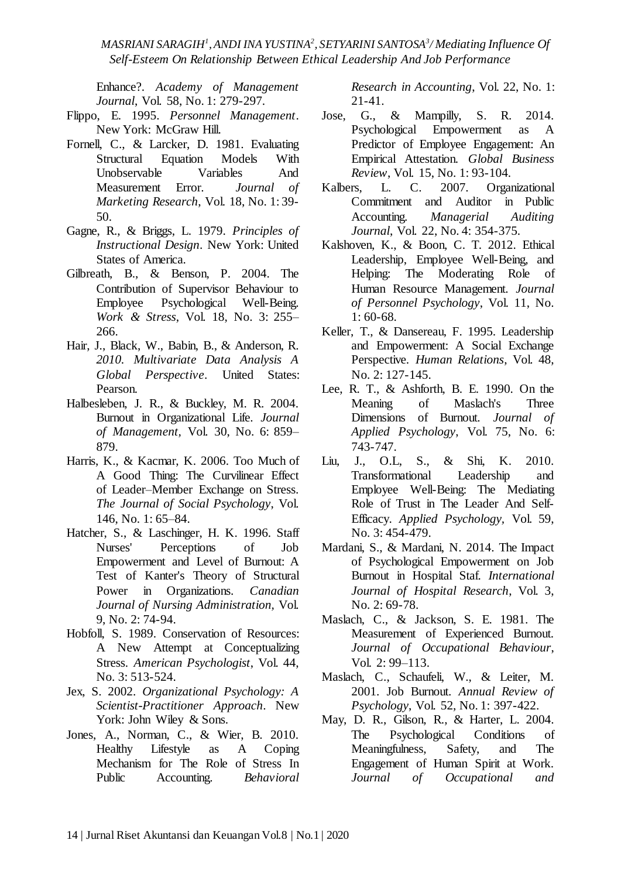Enhance?. *Academy of Management Journal*, Vol. 58, No. 1: 279-297.

- Flippo, E. 1995. *Personnel Management*. New York: McGraw Hill.
- Fornell, C., & Larcker, D. 1981. Evaluating Structural Equation Models With Unobservable Variables And Measurement Error. *Journal of Marketing Research, Vol. 18, No. 1:39-*50.
- Gagne, R., & Briggs, L. 1979. *Principles of Instructional Design*. New York: United States of America.
- Gilbreath, B., & Benson, P. 2004. The Contribution of Supervisor Behaviour to Employee Psychological Well-Being. *Work & Stress*, Vol. 18, No. 3: 255– 266.
- Hair, J., Black, W., Babin, B., & Anderson, R. *2010. Multivariate Data Analysis A Global Perspective*. United States: Pearson.
- Halbesleben, J. R., & Buckley, M. R. 2004. Burnout in Organizational Life. *Journal of Management,* Vol. 30, No. 6: 859– 879.
- Harris, K., & Kacmar, K. 2006. Too Much of A Good Thing: The Curvilinear Effect of Leader–Member Exchange on Stress. *The Journal of Social Psychology*, Vol. 146, No. 1: 65–84.
- Hatcher, S., & Laschinger, H. K. 1996. Staff Nurses' Perceptions of Job Empowerment and Level of Burnout: A Test of Kanter's Theory of Structural Power in Organizations. *Canadian Journal of Nursing Administration,* Vol. 9, No. 2: 74-94.
- Hobfoll, S. 1989. Conservation of Resources: A New Attempt at Conceptualizing Stress. *American Psychologist*, Vol. 44, No. 3: 513-524.
- Jex, S. 2002. *Organizational Psychology: A Scientist-Practitioner Approach*. New York: John Wiley & Sons.
- Jones, A., Norman, C., & Wier, B. 2010. Healthy Lifestyle as A Coping Mechanism for The Role of Stress In Public Accounting. *Behavioral*

*Research in Accounting*, Vol. 22, No. 1: 21-41.

- Jose, G., & Mampilly, S. R. 2014. Psychological Empowerment as A Predictor of Employee Engagement: An Empirical Attestation. *Global Business Review*, Vol. 15, No. 1: 93-104.
- Kalbers, L. C. 2007. Organizational Commitment and Auditor in Public Accounting. *Managerial Auditing Journal*, Vol. 22, No. 4: 354-375.
- Kalshoven, K., & Boon, C. T. 2012. Ethical Leadership, Employee Well-Being, and Helping: The Moderating Role of Human Resource Management. *Journal of Personnel Psychology*, Vol. 11, No. 1: 60-68.
- Keller, T., & Dansereau, F. 1995. Leadership and Empowerment: A Social Exchange Perspective. *Human Relations*, Vol. 48, No. 2: 127-145.
- Lee, R. T., & Ashforth, B. E. 1990. On the Meaning of Maslach's Three Dimensions of Burnout. *Journal of Applied Psychology*, Vol. 75, No. 6: 743-747.
- Liu, J., O.L, S., & Shi, K. 2010. Transformational Leadership and Employee Well-Being: The Mediating Role of Trust in The Leader And Self-Efficacy. *Applied Psychology,* Vol. 59, No. 3: 454-479.
- Mardani, S., & Mardani, N. 2014. The Impact of Psychological Empowerment on Job Burnout in Hospital Staf. *International Journal of Hospital Research*, Vol. 3, No. 2: 69-78.
- Maslach, C., & Jackson, S. E. 1981. The Measurement of Experienced Burnout. *Journal of Occupational Behaviour*, Vol. 2: 99–113.
- Maslach, C., Schaufeli, W., & Leiter, M. 2001. Job Burnout. *Annual Review of Psychology*, Vol. 52, No. 1: 397-422.
- May, D. R., Gilson, R., & Harter, L. 2004. The Psychological Conditions of Meaningfulness, Safety, and The Engagement of Human Spirit at Work. *Journal of Occupational and*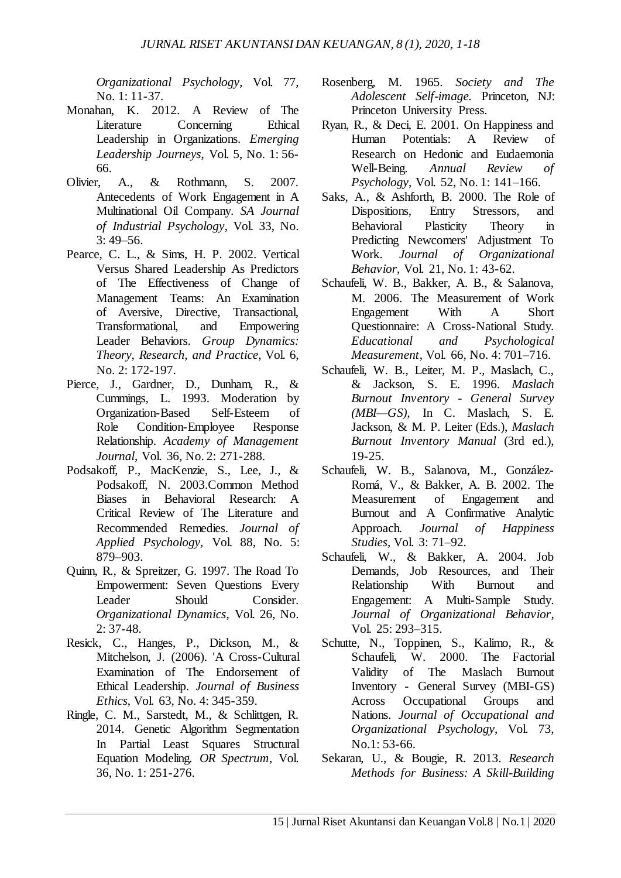*Organizational Psychology*, Vol. 77, No. 1: 11-37.

- Monahan, K. 2012. A Review of The Literature Concerning Ethical Leadership in Organizations. *Emerging Leadership Journeys*, Vol. 5, No. 1: 56- 66.
- Olivier, A., & Rothmann, S. 2007. Antecedents of Work Engagement in A Multinational Oil Company. *SA Journal of Industrial Psychology*, Vol. 33, No.  $3:49 - 56.$
- Pearce, C. L., & Sims, H. P. 2002. Vertical Versus Shared Leadership As Predictors of The Effectiveness of Change of Management Teams: An Examination of Aversive, Directive, Transactional, Transformational, and Empowering Leader Behaviors. *Group Dynamics: Theory, Research, and Practice*, Vol. 6, No. 2: 172-197.
- Pierce, J., Gardner, D., Dunham, R., & Cummings, L. 1993. Moderation by Organization-Based Self-Esteem of Role Condition-Employee Response Relationship. *Academy of Management Journal*, Vol. 36, No. 2: 271-288.
- Podsakoff, P., MacKenzie, S., Lee, J., & Podsakoff, N. 2003.Common Method Biases in Behavioral Research: A Critical Review of The Literature and Recommended Remedies. *Journal of Applied Psychology,* Vol. 88, No. 5: 879–903.
- Quinn, R., & Spreitzer, G. 1997. The Road To Empowerment: Seven Questions Every Leader Should Consider. *Organizational Dynamics*, Vol. 26, No. 2: 37-48.
- Resick, C., Hanges, P., Dickson, M., & Mitchelson, J. (2006). 'A Cross-Cultural Examination of The Endorsement of Ethical Leadership. *Journal of Business Ethics*, Vol. 63, No. 4: 345-359.
- Ringle, C. M., Sarstedt, M., & Schlittgen, R. 2014. Genetic Algorithm Segmentation In Partial Least Squares Structural Equation Modeling. *OR Spectrum*, Vol. 36, No. 1: 251-276.
- Rosenberg, M. 1965. *Society and The Adolescent Self-image.* Princeton, NJ: Princeton University Press.
- Ryan, R., & Deci, E. 2001. On Happiness and Human Potentials: A Review of Research on Hedonic and Eudaemonia Well-Being. *Annual Review of Psychology*, Vol. 52, No. 1: 141–166.
- Saks, A., & Ashforth, B. 2000. The Role of Dispositions, Entry Stressors, and Behavioral Plasticity Theory in Predicting Newcomers' Adjustment To Work. *Journal of Organizational Behavior*, Vol. 21, No. 1: 43-62.
- Schaufeli, W. B., Bakker, A. B., & Salanova, M. 2006. The Measurement of Work Engagement With A Short Questionnaire: A Cross-National Study. *Educational and Psychological Measurement*, Vol. 66, No. 4: 701–716.
- Schaufeli, W. B., Leiter, M. P., Maslach, C., & Jackson, S. E. 1996. *Maslach Burnout Inventory - General Survey (MBI—GS)*, In C. Maslach, S. E. Jackson, & M. P. Leiter (Eds.), *Maslach Burnout Inventory Manual* (3rd ed.), 19-25.
- Schaufeli, W. B., Salanova, M., González-Romá, V., & Bakker, A. B. 2002. The Measurement of Engagement and Burnout and A Confirmative Analytic Approach. *Journal of Happiness Studies*, Vol. 3: 71–92.
- Schaufeli, W., & Bakker, A. 2004. Job Demands, Job Resources, and Their Relationship With Burnout and Engagement: A Multi-Sample Study. *Journal of Organizational Behavior*, Vol. 25: 293–315.
- Schutte, N., Toppinen, S., Kalimo, R., & Schaufeli, W. 2000. The Factorial Validity of The Maslach Burnout Inventory - General Survey (MBI-GS) Across Occupational Groups and Nations. *Journal of Occupational and Organizational Psychology*, Vol. 73, No.1: 53-66.
- Sekaran, U., & Bougie, R. 2013. *Research Methods for Business: A Skill-Building*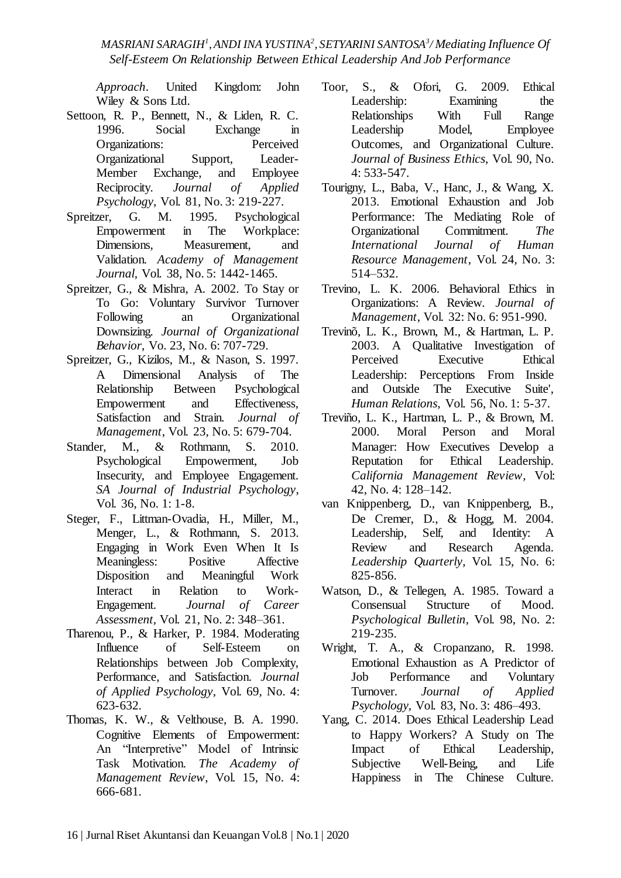*Approach*. United Kingdom: John Wiley & Sons Ltd.

- Settoon, R. P., Bennett, N., & Liden, R. C. 1996. Social Exchange in Organizations: Perceived Organizational Support, Leader-Member Exchange, and Employee Reciprocity. *Journal of Applied Psychology*, Vol. 81, No. 3: 219-227.
- Spreitzer, G. M. 1995. Psychological Empowerment in The Workplace: Dimensions, Measurement, and Validation. *Academy of Management Journal,* Vol. 38, No. 5: 1442-1465.
- Spreitzer, G., & Mishra, A. 2002. To Stay or To Go: Voluntary Survivor Turnover Following an Organizational Downsizing. *Journal of Organizational Behavior*, Vo. 23, No. 6: 707-729.
- Spreitzer, G., Kizilos, M., & Nason, S. 1997. A Dimensional Analysis of The Relationship Between Psychological Empowerment and Effectiveness, Satisfaction and Strain. *Journal of Management*, Vol. 23, No. 5: 679-704.
- Stander, M., & Rothmann, S. 2010. Psychological Empowerment, Job Insecurity, and Employee Engagement. *SA Journal of Industrial Psychology*, Vol. 36, No. 1: 1-8.
- Steger, F., Littman-Ovadia, H., Miller, M., Menger, L., & Rothmann, S. 2013. Engaging in Work Even When It Is Meaningless: Positive Affective Disposition and Meaningful Work Interact in Relation to Work-Engagement. *Journal of Career Assessment,* Vol. 21, No. 2: 348–361.
- Tharenou, P., & Harker, P. 1984. Moderating Influence of Self-Esteem on Relationships between Job Complexity, Performance, and Satisfaction. *Journal of Applied Psychology*, Vol. 69, No. 4: 623-632.
- Thomas, K. W., & Velthouse, B. A. 1990. Cognitive Elements of Empowerment: An "Interpretive" Model of Intrinsic Task Motivation. *The Academy of Management Review*, Vol. 15, No. 4: 666-681.
- Toor, S., & Ofori, G. 2009. Ethical Leadership: Examining the Relationships With Full Range Leadership Model, Employee Outcomes, and Organizational Culture. *Journal of Business Ethics*, Vol. 90, No. 4: 533-547.
- Tourigny, L., Baba, V., Hanc, J., & Wang, X. 2013. Emotional Exhaustion and Job Performance: The Mediating Role of Organizational Commitment. *The International Journal of Human Resource Management*, Vol. 24, No. 3: 514–532.
- Trevino, L. K. 2006. Behavioral Ethics in Organizations: A Review. *Journal of Management*, Vol. 32: No. 6: 951-990.
- Trevinõ, L. K., Brown, M., & Hartman, L. P. 2003. A Qualitative Investigation of Perceived Executive Ethical Leadership: Perceptions From Inside and Outside The Executive Suite', *Human Relations,* Vol. 56, No. 1: 5-37.
- Treviño, L. K., Hartman, L. P., & Brown, M. 2000. Moral Person and Moral Manager: How Executives Develop a Reputation for Ethical Leadership. *California Management Review*, Vol: 42, No. 4: 128–142.
- van Knippenberg, D., van Knippenberg, B., De Cremer, D., & Hogg, M. 2004. Leadership, Self, and Identity: A Review and Research Agenda. *Leadership Quarterly*, Vol. 15, No. 6: 825-856.
- Watson, D., & Tellegen, A. 1985. Toward a Consensual Structure of Mood. *Psychological Bulletin*, Vol. 98, No. 2: 219-235.
- Wright, T. A., & Cropanzano, R. 1998. Emotional Exhaustion as A Predictor of Job Performance and Voluntary Turnover. *Journal of Applied Psychology,* Vol. 83, No. 3: 486–493.
- Yang, C. 2014. Does Ethical Leadership Lead to Happy Workers? A Study on The Impact of Ethical Leadership, Subjective Well-Being, and Life Happiness in The Chinese Culture.